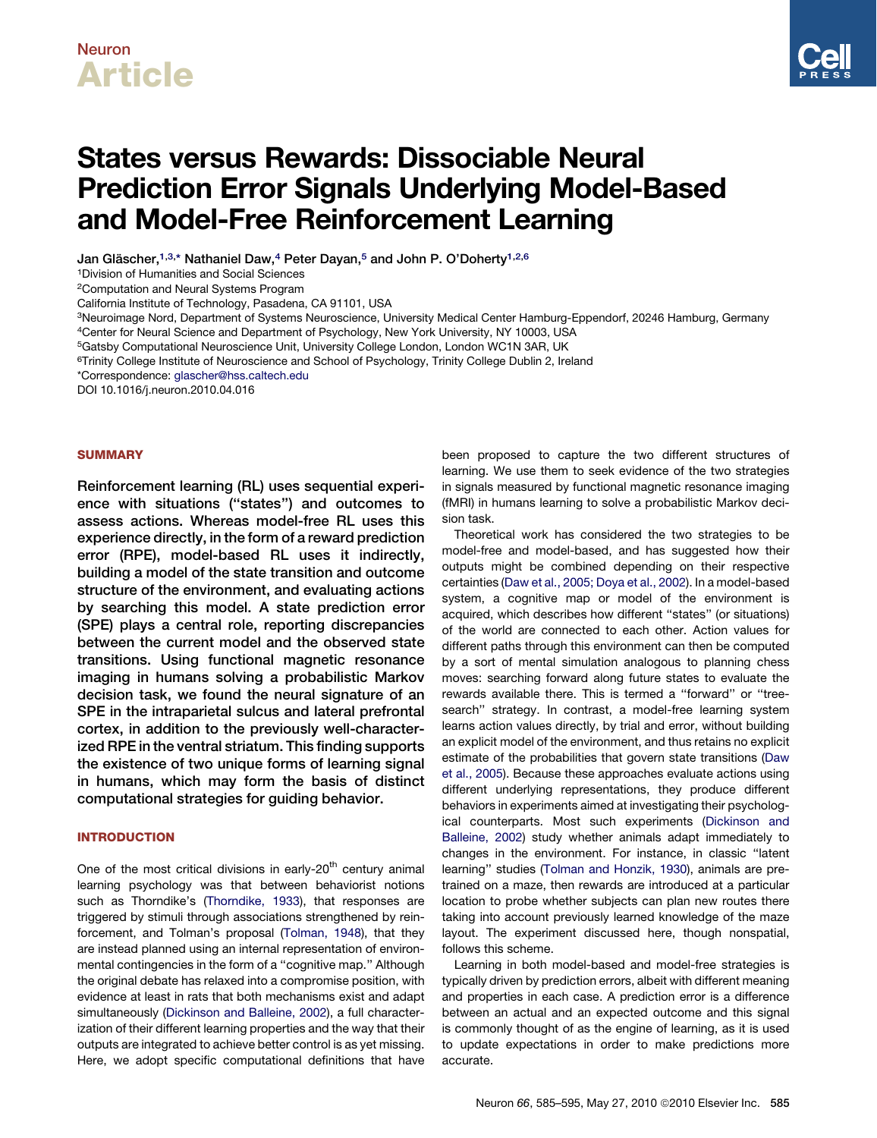# Neuron Article

# States versus Rewards: Dissociable Neural Prediction Error Signals Underlying Model-Based and Model-Free Reinforcement Learning

Jan Gläscher,<sup>1,3,\*</sup> Nathaniel Daw,<sup>4</sup> Peter Dayan,<sup>5</sup> and John P. O'Doherty<sup>1,2,6</sup>

1Division of Humanities and Social Sciences

2Computation and Neural Systems Program

California Institute of Technology, Pasadena, CA 91101, USA

5Gatsby Computational Neuroscience Unit, University College London, London WC1N 3AR, UK

6Trinity College Institute of Neuroscience and School of Psychology, Trinity College Dublin 2, Ireland

\*Correspondence: [glascher@hss.caltech.edu](mailto:glascher@hss.caltech.edu)

DOI 10.1016/j.neuron.2010.04.016

#### **SUMMARY**

Reinforcement learning (RL) uses sequential experience with situations (''states'') and outcomes to assess actions. Whereas model-free RL uses this experience directly, in the form of a reward prediction error (RPE), model-based RL uses it indirectly, building a model of the state transition and outcome structure of the environment, and evaluating actions by searching this model. A state prediction error (SPE) plays a central role, reporting discrepancies between the current model and the observed state transitions. Using functional magnetic resonance imaging in humans solving a probabilistic Markov decision task, we found the neural signature of an SPE in the intraparietal sulcus and lateral prefrontal cortex, in addition to the previously well-characterized RPE in the ventral striatum. This finding supports the existence of two unique forms of learning signal in humans, which may form the basis of distinct computational strategies for guiding behavior.

## INTRODUCTION

One of the most critical divisions in early-20<sup>th</sup> century animal learning psychology was that between behaviorist notions such as Thorndike's [\(Thorndike, 1933](#page-10-0)), that responses are triggered by stimuli through associations strengthened by reinforcement, and Tolman's proposal [\(Tolman, 1948](#page-10-0)), that they are instead planned using an internal representation of environmental contingencies in the form of a ''cognitive map.'' Although the original debate has relaxed into a compromise position, with evidence at least in rats that both mechanisms exist and adapt simultaneously [\(Dickinson and Balleine, 2002\)](#page-9-0), a full characterization of their different learning properties and the way that their outputs are integrated to achieve better control is as yet missing. Here, we adopt specific computational definitions that have

been proposed to capture the two different structures of learning. We use them to seek evidence of the two strategies in signals measured by functional magnetic resonance imaging (fMRI) in humans learning to solve a probabilistic Markov decision task.

Theoretical work has considered the two strategies to be model-free and model-based, and has suggested how their outputs might be combined depending on their respective certainties [\(Daw et al., 2005; Doya et al., 2002\)](#page-9-0). In a model-based system, a cognitive map or model of the environment is acquired, which describes how different ''states'' (or situations) of the world are connected to each other. Action values for different paths through this environment can then be computed by a sort of mental simulation analogous to planning chess moves: searching forward along future states to evaluate the rewards available there. This is termed a ''forward'' or ''treesearch'' strategy. In contrast, a model-free learning system learns action values directly, by trial and error, without building an explicit model of the environment, and thus retains no explicit estimate of the probabilities that govern state transitions [\(Daw](#page-9-0) [et al., 2005](#page-9-0)). Because these approaches evaluate actions using different underlying representations, they produce different behaviors in experiments aimed at investigating their psychological counterparts. Most such experiments [\(Dickinson and](#page-9-0) [Balleine, 2002](#page-9-0)) study whether animals adapt immediately to changes in the environment. For instance, in classic ''latent learning'' studies ([Tolman and Honzik, 1930\)](#page-10-0), animals are pretrained on a maze, then rewards are introduced at a particular location to probe whether subjects can plan new routes there taking into account previously learned knowledge of the maze layout. The experiment discussed here, though nonspatial, follows this scheme.

Learning in both model-based and model-free strategies is typically driven by prediction errors, albeit with different meaning and properties in each case. A prediction error is a difference between an actual and an expected outcome and this signal is commonly thought of as the engine of learning, as it is used to update expectations in order to make predictions more accurate.

<sup>3</sup>Neuroimage Nord, Department of Systems Neuroscience, University Medical Center Hamburg-Eppendorf, 20246 Hamburg, Germany 4Center for Neural Science and Department of Psychology, New York University, NY 10003, USA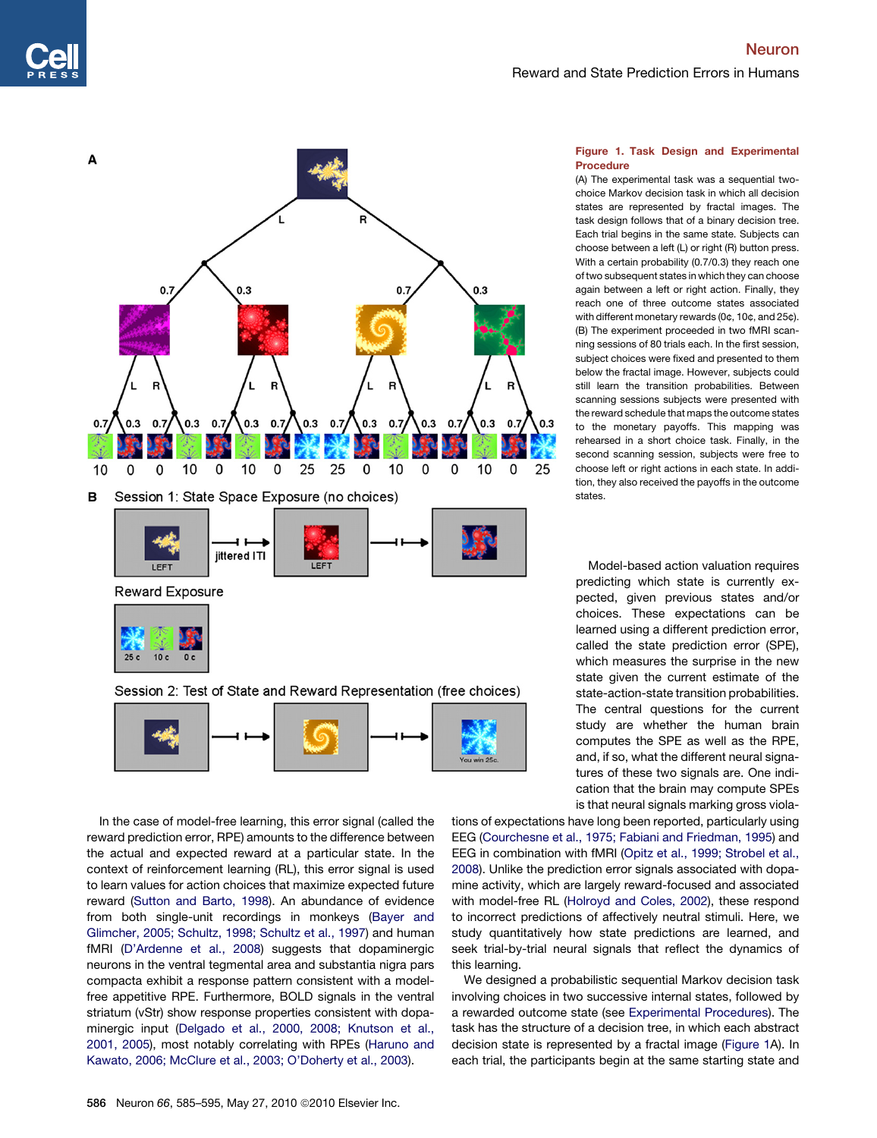# Reward and State Prediction Errors in Humans

# Neuron

<span id="page-1-0"></span>

In the case of model-free learning, this error signal (called the reward prediction error, RPE) amounts to the difference between the actual and expected reward at a particular state. In the context of reinforcement learning (RL), this error signal is used to learn values for action choices that maximize expected future reward [\(Sutton and Barto, 1998\)](#page-10-0). An abundance of evidence from both single-unit recordings in monkeys [\(Bayer and](#page-9-0) [Glimcher, 2005; Schultz, 1998; Schultz et al., 1997](#page-9-0)) and human fMRI [\(D'Ardenne et al., 2008](#page-9-0)) suggests that dopaminergic neurons in the ventral tegmental area and substantia nigra pars compacta exhibit a response pattern consistent with a modelfree appetitive RPE. Furthermore, BOLD signals in the ventral striatum (vStr) show response properties consistent with dopaminergic input ([Delgado et al., 2000, 2008; Knutson et al.,](#page-9-0) [2001, 2005\)](#page-9-0), most notably correlating with RPEs [\(Haruno and](#page-10-0) [Kawato, 2006; McClure et al., 2003; O'Doherty et al., 2003\)](#page-10-0).

#### Figure 1. Task Design and Experimental Procedure

(A) The experimental task was a sequential twochoice Markov decision task in which all decision states are represented by fractal images. The task design follows that of a binary decision tree. Each trial begins in the same state. Subjects can choose between a left (L) or right (R) button press. With a certain probability (0.7/0.3) they reach one of two subsequent states in which they can choose again between a left or right action. Finally, they reach one of three outcome states associated with different monetary rewards (0¢, 10¢, and 25¢). (B) The experiment proceeded in two fMRI scanning sessions of 80 trials each. In the first session, subject choices were fixed and presented to them below the fractal image. However, subjects could still learn the transition probabilities. Between scanning sessions subjects were presented with the reward schedule that maps the outcome states to the monetary payoffs. This mapping was rehearsed in a short choice task. Finally, in the second scanning session, subjects were free to choose left or right actions in each state. In addition, they also received the payoffs in the outcome states.

Model-based action valuation requires predicting which state is currently expected, given previous states and/or choices. These expectations can be learned using a different prediction error, called the state prediction error (SPE), which measures the surprise in the new state given the current estimate of the state-action-state transition probabilities. The central questions for the current study are whether the human brain computes the SPE as well as the RPE, and, if so, what the different neural signatures of these two signals are. One indication that the brain may compute SPEs is that neural signals marking gross viola-

tions of expectations have long been reported, particularly using EEG [\(Courchesne et al., 1975; Fabiani and Friedman, 1995](#page-9-0)) and EEG in combination with fMRI [\(Opitz et al., 1999; Strobel et al.,](#page-10-0) [2008\)](#page-10-0). Unlike the prediction error signals associated with dopamine activity, which are largely reward-focused and associated with model-free RL [\(Holroyd and Coles, 2002\)](#page-10-0), these respond to incorrect predictions of affectively neutral stimuli. Here, we study quantitatively how state predictions are learned, and seek trial-by-trial neural signals that reflect the dynamics of this learning.

We designed a probabilistic sequential Markov decision task involving choices in two successive internal states, followed by a rewarded outcome state (see [Experimental Procedures\)](#page-7-0). The task has the structure of a decision tree, in which each abstract decision state is represented by a fractal image (Figure 1A). In each trial, the participants begin at the same starting state and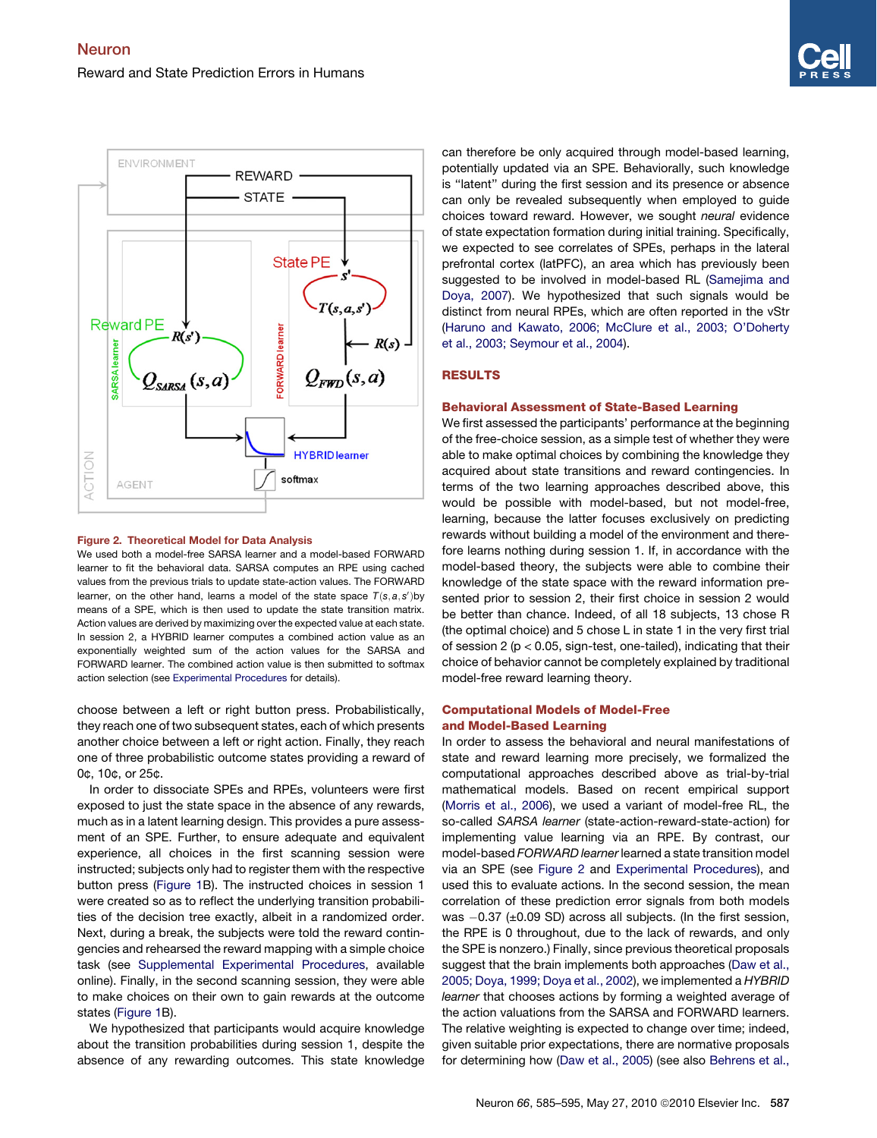<span id="page-2-0"></span>

#### Figure 2. Theoretical Model for Data Analysis

We used both a model-free SARSA learner and a model-based FORWARD learner to fit the behavioral data. SARSA computes an RPE using cached values from the previous trials to update state-action values. The FORWARD learner, on the other hand, learns a model of the state space  $T(s, a, s')$  by means of a SPE, which is then used to update the state transition matrix. Action values are derived by maximizing over the expected value at each state. In session 2, a HYBRID learner computes a combined action value as an exponentially weighted sum of the action values for the SARSA and FORWARD learner. The combined action value is then submitted to softmax action selection (see [Experimental Procedures](#page-7-0) for details).

choose between a left or right button press. Probabilistically, they reach one of two subsequent states, each of which presents another choice between a left or right action. Finally, they reach one of three probabilistic outcome states providing a reward of 0¢, 10¢, or 25¢.

In order to dissociate SPEs and RPEs, volunteers were first exposed to just the state space in the absence of any rewards, much as in a latent learning design. This provides a pure assessment of an SPE. Further, to ensure adequate and equivalent experience, all choices in the first scanning session were instructed; subjects only had to register them with the respective button press ([Figure 1B](#page-1-0)). The instructed choices in session 1 were created so as to reflect the underlying transition probabilities of the decision tree exactly, albeit in a randomized order. Next, during a break, the subjects were told the reward contingencies and rehearsed the reward mapping with a simple choice task (see [Supplemental Experimental Procedures](#page-9-0), available online). Finally, in the second scanning session, they were able to make choices on their own to gain rewards at the outcome states ([Figure 1](#page-1-0)B).

We hypothesized that participants would acquire knowledge about the transition probabilities during session 1, despite the absence of any rewarding outcomes. This state knowledge

can therefore be only acquired through model-based learning, potentially updated via an SPE. Behaviorally, such knowledge is ''latent'' during the first session and its presence or absence can only be revealed subsequently when employed to guide choices toward reward. However, we sought *neural* evidence of state expectation formation during initial training. Specifically, we expected to see correlates of SPEs, perhaps in the lateral prefrontal cortex (latPFC), an area which has previously been suggested to be involved in model-based RL ([Samejima and](#page-10-0) [Doya, 2007\)](#page-10-0). We hypothesized that such signals would be distinct from neural RPEs, which are often reported in the vStr [\(Haruno and Kawato, 2006; McClure et al., 2003; O'Doherty](#page-10-0) [et al., 2003; Seymour et al., 2004\)](#page-10-0).

# RESULTS

## Behavioral Assessment of State-Based Learning

We first assessed the participants' performance at the beginning of the free-choice session, as a simple test of whether they were able to make optimal choices by combining the knowledge they acquired about state transitions and reward contingencies. In terms of the two learning approaches described above, this would be possible with model-based, but not model-free, learning, because the latter focuses exclusively on predicting rewards without building a model of the environment and therefore learns nothing during session 1. If, in accordance with the model-based theory, the subjects were able to combine their knowledge of the state space with the reward information presented prior to session 2, their first choice in session 2 would be better than chance. Indeed, of all 18 subjects, 13 chose R (the optimal choice) and 5 chose L in state 1 in the very first trial of session 2 ( $p < 0.05$ , sign-test, one-tailed), indicating that their choice of behavior cannot be completely explained by traditional model-free reward learning theory.

## Computational Models of Model-Free and Model-Based Learning

In order to assess the behavioral and neural manifestations of state and reward learning more precisely, we formalized the computational approaches described above as trial-by-trial mathematical models. Based on recent empirical support [\(Morris et al., 2006\)](#page-10-0), we used a variant of model-free RL, the so-called *SARSA learner* (state-action-reward-state-action) for implementing value learning via an RPE. By contrast, our model-based *FORWARD learner* learned a state transition model via an SPE (see Figure 2 and [Experimental Procedures\)](#page-7-0), and used this to evaluate actions. In the second session, the mean correlation of these prediction error signals from both models was -0.37 (±0.09 SD) across all subjects. (In the first session, the RPE is 0 throughout, due to the lack of rewards, and only the SPE is nonzero.) Finally, since previous theoretical proposals suggest that the brain implements both approaches [\(Daw et al.,](#page-9-0) [2005; Doya, 1999; Doya et al., 2002\)](#page-9-0), we implemented a *HYBRID learner* that chooses actions by forming a weighted average of the action valuations from the SARSA and FORWARD learners. The relative weighting is expected to change over time; indeed, given suitable prior expectations, there are normative proposals for determining how [\(Daw et al., 2005](#page-9-0)) (see also [Behrens et al.,](#page-9-0)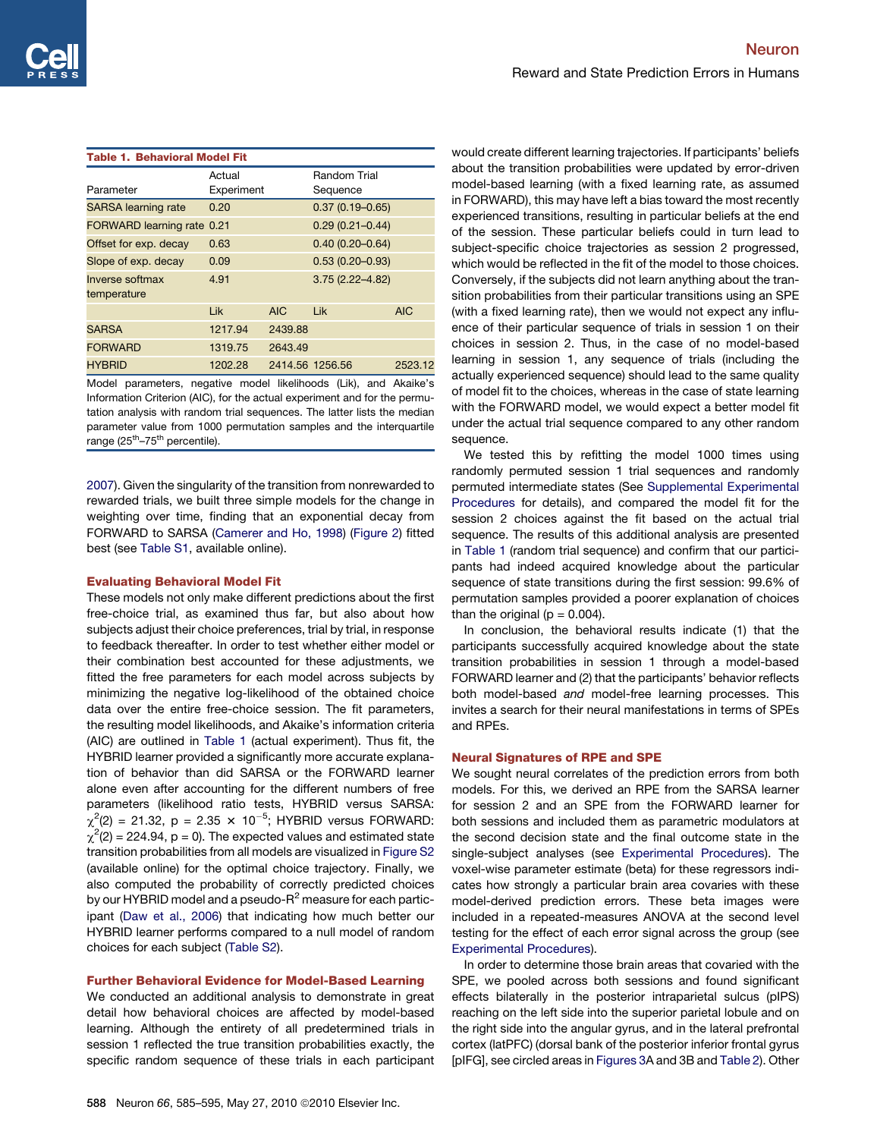| <b>Table 1. Behavioral Model Fit</b> |                      |            |                          |            |  |  |  |  |  |  |  |
|--------------------------------------|----------------------|------------|--------------------------|------------|--|--|--|--|--|--|--|
| Parameter                            | Actual<br>Experiment |            | Random Trial<br>Sequence |            |  |  |  |  |  |  |  |
| <b>SARSA</b> learning rate           | 0.20                 |            | $0.37(0.19 - 0.65)$      |            |  |  |  |  |  |  |  |
| FORWARD learning rate 0.21           |                      |            | $0.29(0.21 - 0.44)$      |            |  |  |  |  |  |  |  |
| Offset for exp. decay                | 0.63                 |            | $0.40(0.20 - 0.64)$      |            |  |  |  |  |  |  |  |
| Slope of exp. decay                  | 0.09                 |            | $0.53(0.20 - 0.93)$      |            |  |  |  |  |  |  |  |
| Inverse softmax<br>temperature       | 4.91                 |            | $3.75(2.22 - 4.82)$      |            |  |  |  |  |  |  |  |
|                                      | Lik                  | <b>AIC</b> | Lik                      | <b>AIC</b> |  |  |  |  |  |  |  |
| <b>SARSA</b>                         | 1217.94              | 2439.88    |                          |            |  |  |  |  |  |  |  |
| <b>FORWARD</b>                       | 1319.75              | 2643.49    |                          |            |  |  |  |  |  |  |  |
| <b>HYBRID</b>                        | 1202.28              |            | 2414.56 1256.56          | 2523.12    |  |  |  |  |  |  |  |

Model parameters, negative model likelihoods (Lik), and Akaike's Information Criterion (AIC), for the actual experiment and for the permutation analysis with random trial sequences. The latter lists the median parameter value from 1000 permutation samples and the interquartile range (25<sup>th</sup>–75<sup>th</sup> percentile).

[2007](#page-9-0)). Given the singularity of the transition from nonrewarded to rewarded trials, we built three simple models for the change in weighting over time, finding that an exponential decay from FORWARD to SARSA [\(Camerer and Ho, 1998\)](#page-9-0) [\(Figure 2](#page-2-0)) fitted best (see [Table S1](#page-9-0), available online).

#### Evaluating Behavioral Model Fit

These models not only make different predictions about the first free-choice trial, as examined thus far, but also about how subjects adjust their choice preferences, trial by trial, in response to feedback thereafter. In order to test whether either model or their combination best accounted for these adjustments, we fitted the free parameters for each model across subjects by minimizing the negative log-likelihood of the obtained choice data over the entire free-choice session. The fit parameters, the resulting model likelihoods, and Akaike's information criteria (AIC) are outlined in Table 1 (actual experiment). Thus fit, the HYBRID learner provided a significantly more accurate explanation of behavior than did SARSA or the FORWARD learner alone even after accounting for the different numbers of free parameters (likelihood ratio tests, HYBRID versus SARSA:  $\chi^2(2) = 21.32$ , p = 2.35  $\times$  10<sup>-5</sup>; HYBRID versus FORWARD:  $\chi^2$ (2) = 224.94, p = 0). The expected values and estimated state transition probabilities from all models are visualized in [Figure S2](#page-9-0) (available online) for the optimal choice trajectory. Finally, we also computed the probability of correctly predicted choices by our HYBRID model and a pseudo- $R^2$  measure for each participant ([Daw et al., 2006](#page-9-0)) that indicating how much better our HYBRID learner performs compared to a null model of random choices for each subject [\(Table S2](#page-9-0)).

#### Further Behavioral Evidence for Model-Based Learning

We conducted an additional analysis to demonstrate in great detail how behavioral choices are affected by model-based learning. Although the entirety of all predetermined trials in session 1 reflected the true transition probabilities exactly, the specific random sequence of these trials in each participant

would create different learning trajectories. If participants' beliefs about the transition probabilities were updated by error-driven model-based learning (with a fixed learning rate, as assumed in FORWARD), this may have left a bias toward the most recently experienced transitions, resulting in particular beliefs at the end of the session. These particular beliefs could in turn lead to subject-specific choice trajectories as session 2 progressed, which would be reflected in the fit of the model to those choices. Conversely, if the subjects did not learn anything about the transition probabilities from their particular transitions using an SPE (with a fixed learning rate), then we would not expect any influence of their particular sequence of trials in session 1 on their choices in session 2. Thus, in the case of no model-based learning in session 1, any sequence of trials (including the actually experienced sequence) should lead to the same quality of model fit to the choices, whereas in the case of state learning with the FORWARD model, we would expect a better model fit under the actual trial sequence compared to any other random sequence.

We tested this by refitting the model 1000 times using randomly permuted session 1 trial sequences and randomly permuted intermediate states (See [Supplemental Experimental](#page-9-0) [Procedures](#page-9-0) for details), and compared the model fit for the session 2 choices against the fit based on the actual trial sequence. The results of this additional analysis are presented in Table 1 (random trial sequence) and confirm that our participants had indeed acquired knowledge about the particular sequence of state transitions during the first session: 99.6% of permutation samples provided a poorer explanation of choices than the original ( $p = 0.004$ ).

In conclusion, the behavioral results indicate (1) that the participants successfully acquired knowledge about the state transition probabilities in session 1 through a model-based FORWARD learner and (2) that the participants' behavior reflects both model-based *and* model-free learning processes. This invites a search for their neural manifestations in terms of SPEs and RPEs.

#### Neural Signatures of RPE and SPE

We sought neural correlates of the prediction errors from both models. For this, we derived an RPE from the SARSA learner for session 2 and an SPE from the FORWARD learner for both sessions and included them as parametric modulators at the second decision state and the final outcome state in the single-subject analyses (see [Experimental Procedures](#page-7-0)). The voxel-wise parameter estimate (beta) for these regressors indicates how strongly a particular brain area covaries with these model-derived prediction errors. These beta images were included in a repeated-measures ANOVA at the second level testing for the effect of each error signal across the group (see [Experimental Procedures](#page-7-0)).

In order to determine those brain areas that covaried with the SPE, we pooled across both sessions and found significant effects bilaterally in the posterior intraparietal sulcus (pIPS) reaching on the left side into the superior parietal lobule and on the right side into the angular gyrus, and in the lateral prefrontal cortex (latPFC) (dorsal bank of the posterior inferior frontal gyrus [pIFG], see circled areas in [Figures 3](#page-4-0)A and 3B and [Table 2\)](#page-5-0). Other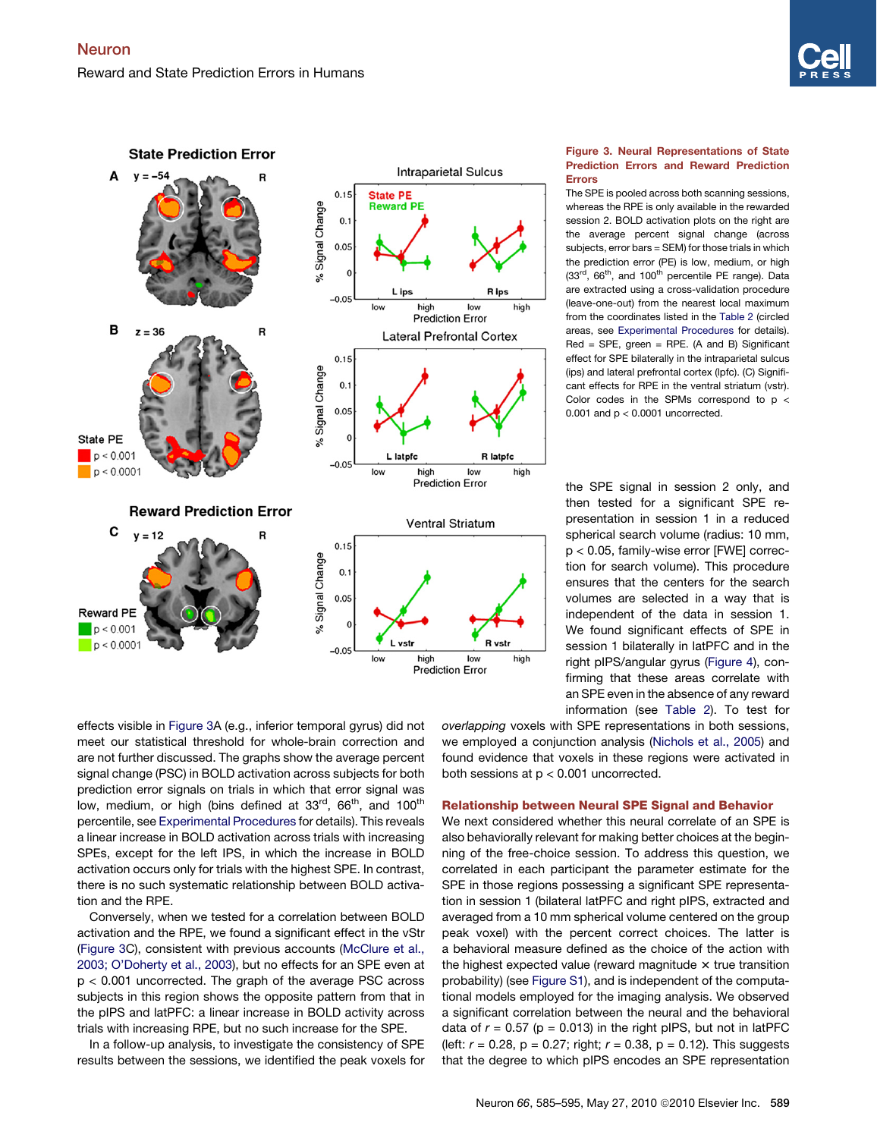

<span id="page-4-0"></span>

#### Figure 3. Neural Representations of State Prediction Errors and Reward Prediction Errors

The SPE is pooled across both scanning sessions, whereas the RPE is only available in the rewarded session 2. BOLD activation plots on the right are the average percent signal change (across subjects, error bars = SEM) for those trials in which the prediction error (PE) is low, medium, or high (33<sup>rd</sup>, 66<sup>th</sup>, and 100<sup>th</sup> percentile PE range). Data are extracted using a cross-validation procedure (leave-one-out) from the nearest local maximum from the coordinates listed in the [Table 2](#page-5-0) (circled areas, see [Experimental Procedures](#page-7-0) for details). Red = SPE, green = RPE. (A and B) Significant effect for SPE bilaterally in the intraparietal sulcus (ips) and lateral prefrontal cortex (lpfc). (C) Significant effects for RPE in the ventral striatum (vstr). Color codes in the SPMs correspond to  $p <$ 0.001 and  $p < 0.0001$  uncorrected.

the SPE signal in session 2 only, and then tested for a significant SPE representation in session 1 in a reduced spherical search volume (radius: 10 mm, p < 0.05, family-wise error [FWE] correction for search volume). This procedure ensures that the centers for the search volumes are selected in a way that is independent of the data in session 1. We found significant effects of SPE in session 1 bilaterally in latPFC and in the right pIPS/angular gyrus [\(Figure 4](#page-6-0)), confirming that these areas correlate with an SPE even in the absence of any reward information (see [Table 2\)](#page-5-0). To test for

effects visible in Figure 3A (e.g., inferior temporal gyrus) did not meet our statistical threshold for whole-brain correction and are not further discussed. The graphs show the average percent signal change (PSC) in BOLD activation across subjects for both prediction error signals on trials in which that error signal was low, medium, or high (bins defined at 33<sup>rd</sup>, 66<sup>th</sup>, and 100<sup>th</sup> percentile, see [Experimental Procedures](#page-7-0) for details). This reveals a linear increase in BOLD activation across trials with increasing SPEs, except for the left IPS, in which the increase in BOLD activation occurs only for trials with the highest SPE. In contrast, there is no such systematic relationship between BOLD activation and the RPE.

Conversely, when we tested for a correlation between BOLD activation and the RPE, we found a significant effect in the vStr (Figure 3C), consistent with previous accounts ([McClure et al.,](#page-10-0) [2003; O'Doherty et al., 2003\)](#page-10-0), but no effects for an SPE even at p < 0.001 uncorrected. The graph of the average PSC across subjects in this region shows the opposite pattern from that in the pIPS and latPFC: a linear increase in BOLD activity across trials with increasing RPE, but no such increase for the SPE.

In a follow-up analysis, to investigate the consistency of SPE results between the sessions, we identified the peak voxels for

*overlapping* voxels with SPE representations in both sessions, we employed a conjunction analysis [\(Nichols et al., 2005\)](#page-10-0) and found evidence that voxels in these regions were activated in both sessions at p < 0.001 uncorrected.

#### Relationship between Neural SPE Signal and Behavior

We next considered whether this neural correlate of an SPE is also behaviorally relevant for making better choices at the beginning of the free-choice session. To address this question, we correlated in each participant the parameter estimate for the SPE in those regions possessing a significant SPE representation in session 1 (bilateral latPFC and right pIPS, extracted and averaged from a 10 mm spherical volume centered on the group peak voxel) with the percent correct choices. The latter is a behavioral measure defined as the choice of the action with the highest expected value (reward magnitude  $\times$  true transition probability) (see [Figure S1\)](#page-9-0), and is independent of the computational models employed for the imaging analysis. We observed a significant correlation between the neural and the behavioral data of  $r = 0.57$  ( $p = 0.013$ ) in the right pIPS, but not in latPFC (left:  $r = 0.28$ ,  $p = 0.27$ ; right;  $r = 0.38$ ,  $p = 0.12$ ). This suggests that the degree to which pIPS encodes an SPE representation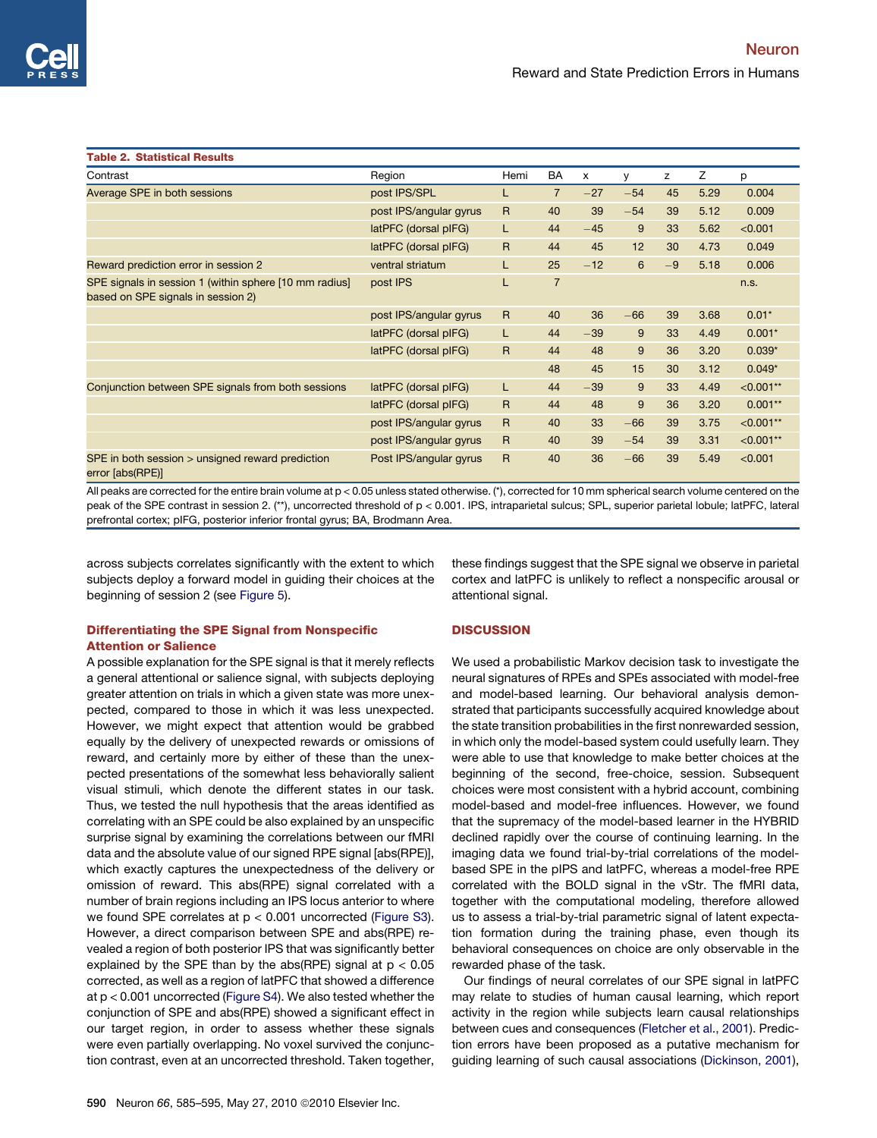<span id="page-5-0"></span>

| <b>Table 2. Statistical Results</b>                                                          |                        |              |                |              |       |      |      |             |
|----------------------------------------------------------------------------------------------|------------------------|--------------|----------------|--------------|-------|------|------|-------------|
| Contrast                                                                                     | Region                 | Hemi         | <b>BA</b>      | $\mathsf{x}$ | v     | z    | Z    | p           |
| Average SPE in both sessions                                                                 | post IPS/SPL           | L            | $\overline{7}$ | $-27$        | $-54$ | 45   | 5.29 | 0.004       |
|                                                                                              | post IPS/angular gyrus | R            | 40             | 39           | $-54$ | 39   | 5.12 | 0.009       |
|                                                                                              | latPFC (dorsal plFG)   | Г            | 44             | $-45$        | 9     | 33   | 5.62 | < 0.001     |
|                                                                                              | latPFC (dorsal pIFG)   | $\mathsf{R}$ | 44             | 45           | 12    | 30   | 4.73 | 0.049       |
| Reward prediction error in session 2                                                         | ventral striatum       | L            | 25             | $-12$        | 6     | $-9$ | 5.18 | 0.006       |
| SPE signals in session 1 (within sphere [10 mm radius]<br>based on SPE signals in session 2) | post IPS               | L            | $\overline{7}$ |              |       |      |      | n.s.        |
|                                                                                              | post IPS/angular gyrus | R            | 40             | 36           | $-66$ | 39   | 3.68 | $0.01*$     |
|                                                                                              | latPFC (dorsal plFG)   | Г            | 44             | $-39$        | 9     | 33   | 4.49 | $0.001*$    |
|                                                                                              | latPFC (dorsal plFG)   | $\mathsf{R}$ | 44             | 48           | 9     | 36   | 3.20 | $0.039*$    |
|                                                                                              |                        |              | 48             | 45           | 15    | 30   | 3.12 | $0.049*$    |
| Conjunction between SPE signals from both sessions                                           | latPFC (dorsal plFG)   | L            | 44             | $-39$        | 9     | 33   | 4.49 | $< 0.001**$ |
|                                                                                              | latPFC (dorsal pIFG)   | $\mathsf{R}$ | 44             | 48           | 9     | 36   | 3.20 | $0.001**$   |
|                                                                                              | post IPS/angular gyrus | R            | 40             | 33           | $-66$ | 39   | 3.75 | $< 0.001**$ |
|                                                                                              | post IPS/angular gyrus | R            | 40             | 39           | $-54$ | 39   | 3.31 | $< 0.001**$ |
| SPE in both session > unsigned reward prediction<br>error [abs(RPE)]                         | Post IPS/angular gyrus | R            | 40             | 36           | $-66$ | 39   | 5.49 | < 0.001     |

All peaks are corrected for the entire brain volume at p < 0.05 unless stated otherwise. (\*), corrected for 10 mm spherical search volume centered on the peak of the SPE contrast in session 2. (\*\*), uncorrected threshold of p < 0.001. IPS, intraparietal sulcus; SPL, superior parietal lobule; latPFC, lateral prefrontal cortex; pIFG, posterior inferior frontal gyrus; BA, Brodmann Area.

across subjects correlates significantly with the extent to which subjects deploy a forward model in guiding their choices at the beginning of session 2 (see [Figure 5\)](#page-6-0).

these findings suggest that the SPE signal we observe in parietal cortex and latPFC is unlikely to reflect a nonspecific arousal or attentional signal.

# Differentiating the SPE Signal from Nonspecific Attention or Salience

A possible explanation for the SPE signal is that it merely reflects a general attentional or salience signal, with subjects deploying greater attention on trials in which a given state was more unexpected, compared to those in which it was less unexpected. However, we might expect that attention would be grabbed equally by the delivery of unexpected rewards or omissions of reward, and certainly more by either of these than the unexpected presentations of the somewhat less behaviorally salient visual stimuli, which denote the different states in our task. Thus, we tested the null hypothesis that the areas identified as correlating with an SPE could be also explained by an unspecific surprise signal by examining the correlations between our fMRI data and the absolute value of our signed RPE signal [abs(RPE)], which exactly captures the unexpectedness of the delivery or omission of reward. This abs(RPE) signal correlated with a number of brain regions including an IPS locus anterior to where we found SPE correlates at  $p < 0.001$  uncorrected ([Figure S3](#page-9-0)). However, a direct comparison between SPE and abs(RPE) revealed a region of both posterior IPS that was significantly better explained by the SPE than by the abs(RPE) signal at  $p < 0.05$ corrected, as well as a region of latPFC that showed a difference at p < 0.001 uncorrected [\(Figure S4](#page-9-0)). We also tested whether the conjunction of SPE and abs(RPE) showed a significant effect in our target region, in order to assess whether these signals were even partially overlapping. No voxel survived the conjunction contrast, even at an uncorrected threshold. Taken together,

## **DISCUSSION**

We used a probabilistic Markov decision task to investigate the neural signatures of RPEs and SPEs associated with model-free and model-based learning. Our behavioral analysis demonstrated that participants successfully acquired knowledge about the state transition probabilities in the first nonrewarded session, in which only the model-based system could usefully learn. They were able to use that knowledge to make better choices at the beginning of the second, free-choice, session. Subsequent choices were most consistent with a hybrid account, combining model-based and model-free influences. However, we found that the supremacy of the model-based learner in the HYBRID declined rapidly over the course of continuing learning. In the imaging data we found trial-by-trial correlations of the modelbased SPE in the pIPS and latPFC, whereas a model-free RPE correlated with the BOLD signal in the vStr. The fMRI data, together with the computational modeling, therefore allowed us to assess a trial-by-trial parametric signal of latent expectation formation during the training phase, even though its behavioral consequences on choice are only observable in the rewarded phase of the task.

Our findings of neural correlates of our SPE signal in latPFC may relate to studies of human causal learning, which report activity in the region while subjects learn causal relationships between cues and consequences ([Fletcher et al., 2001\)](#page-9-0). Prediction errors have been proposed as a putative mechanism for guiding learning of such causal associations [\(Dickinson, 2001](#page-9-0)),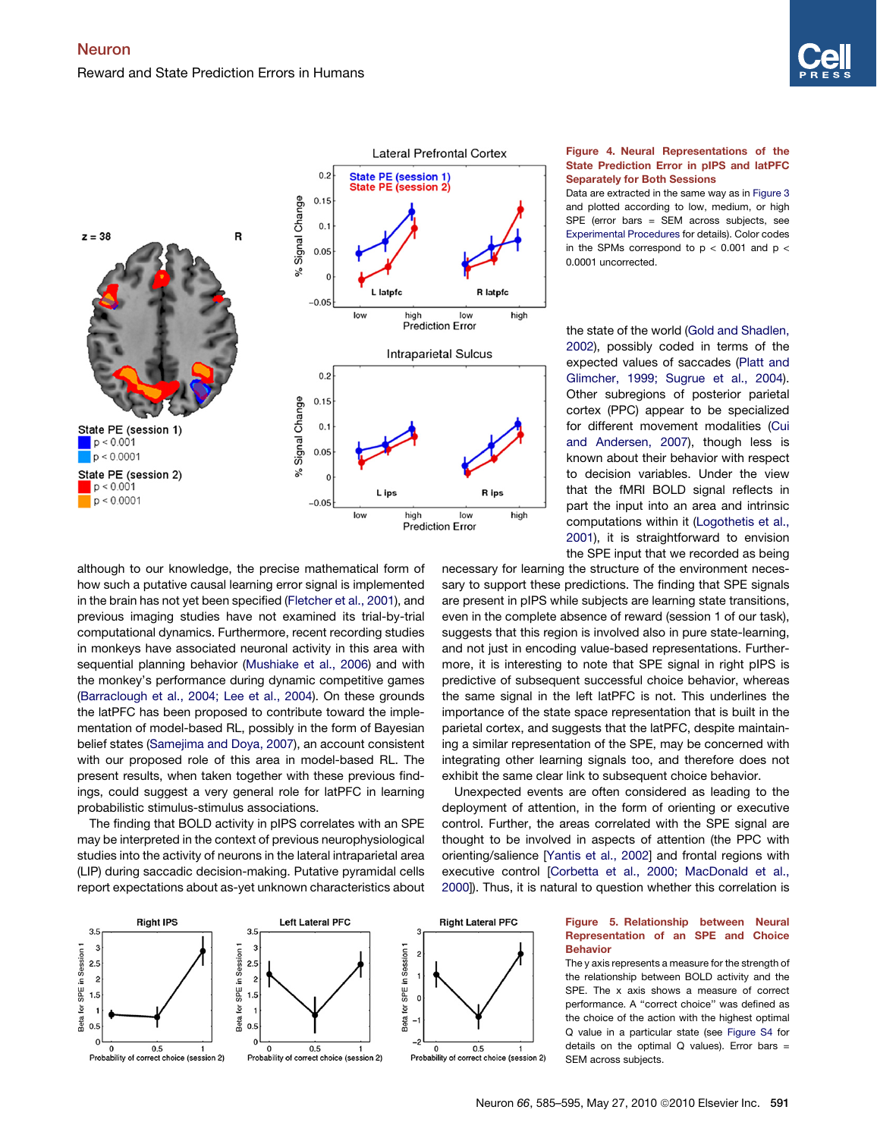<span id="page-6-0"></span>

although to our knowledge, the precise mathematical form of how such a putative causal learning error signal is implemented in the brain has not yet been specified [\(Fletcher et al., 2001](#page-9-0)), and previous imaging studies have not examined its trial-by-trial computational dynamics. Furthermore, recent recording studies in monkeys have associated neuronal activity in this area with sequential planning behavior [\(Mushiake et al., 2006](#page-10-0)) and with the monkey's performance during dynamic competitive games [\(Barraclough et al., 2004; Lee et al., 2004\)](#page-9-0). On these grounds the latPFC has been proposed to contribute toward the implementation of model-based RL, possibly in the form of Bayesian belief states [\(Samejima and Doya, 2007](#page-10-0)), an account consistent with our proposed role of this area in model-based RL. The present results, when taken together with these previous findings, could suggest a very general role for latPFC in learning probabilistic stimulus-stimulus associations.

The finding that BOLD activity in pIPS correlates with an SPE may be interpreted in the context of previous neurophysiological studies into the activity of neurons in the lateral intraparietal area (LIP) during saccadic decision-making. Putative pyramidal cells report expectations about as-yet unknown characteristics about



#### Figure 4. Neural Representations of the State Prediction Error in pIPS and latPFC Separately for Both Sessions

Data are extracted in the same way as in [Figure 3](#page-4-0) and plotted according to low, medium, or high SPE (error bars = SEM across subjects, see [Experimental Procedures](#page-7-0) for details). Color codes in the SPMs correspond to  $p < 0.001$  and  $p <$ 0.0001 uncorrected.

the state of the world [\(Gold and Shadlen,](#page-10-0) [2002](#page-10-0)), possibly coded in terms of the expected values of saccades [\(Platt and](#page-10-0) [Glimcher, 1999; Sugrue et al., 2004\)](#page-10-0). Other subregions of posterior parietal cortex (PPC) appear to be specialized for different movement modalities ([Cui](#page-9-0) [and Andersen, 2007](#page-9-0)), though less is known about their behavior with respect to decision variables. Under the view that the fMRI BOLD signal reflects in part the input into an area and intrinsic computations within it [\(Logothetis et al.,](#page-10-0) [2001](#page-10-0)), it is straightforward to envision the SPE input that we recorded as being

necessary for learning the structure of the environment necessary to support these predictions. The finding that SPE signals are present in pIPS while subjects are learning state transitions, even in the complete absence of reward (session 1 of our task), suggests that this region is involved also in pure state-learning, and not just in encoding value-based representations. Furthermore, it is interesting to note that SPE signal in right pIPS is predictive of subsequent successful choice behavior, whereas the same signal in the left latPFC is not. This underlines the importance of the state space representation that is built in the parietal cortex, and suggests that the latPFC, despite maintaining a similar representation of the SPE, may be concerned with integrating other learning signals too, and therefore does not exhibit the same clear link to subsequent choice behavior.

Unexpected events are often considered as leading to the deployment of attention, in the form of orienting or executive control. Further, the areas correlated with the SPE signal are thought to be involved in aspects of attention (the PPC with orienting/salience [\[Yantis et al., 2002](#page-10-0)] and frontal regions with executive control [[Corbetta et al., 2000; MacDonald et al.,](#page-9-0) [2000\]](#page-9-0)). Thus, it is natural to question whether this correlation is

#### Figure 5. Relationship between Neural Representation of an SPE and Choice Behavior

The y axis represents a measure for the strength of the relationship between BOLD activity and the SPE. The x axis shows a measure of correct performance. A ''correct choice'' was defined as the choice of the action with the highest optimal Q value in a particular state (see [Figure S4](#page-9-0) for details on the optimal  $Q$  values). Error bars = SEM across subjects.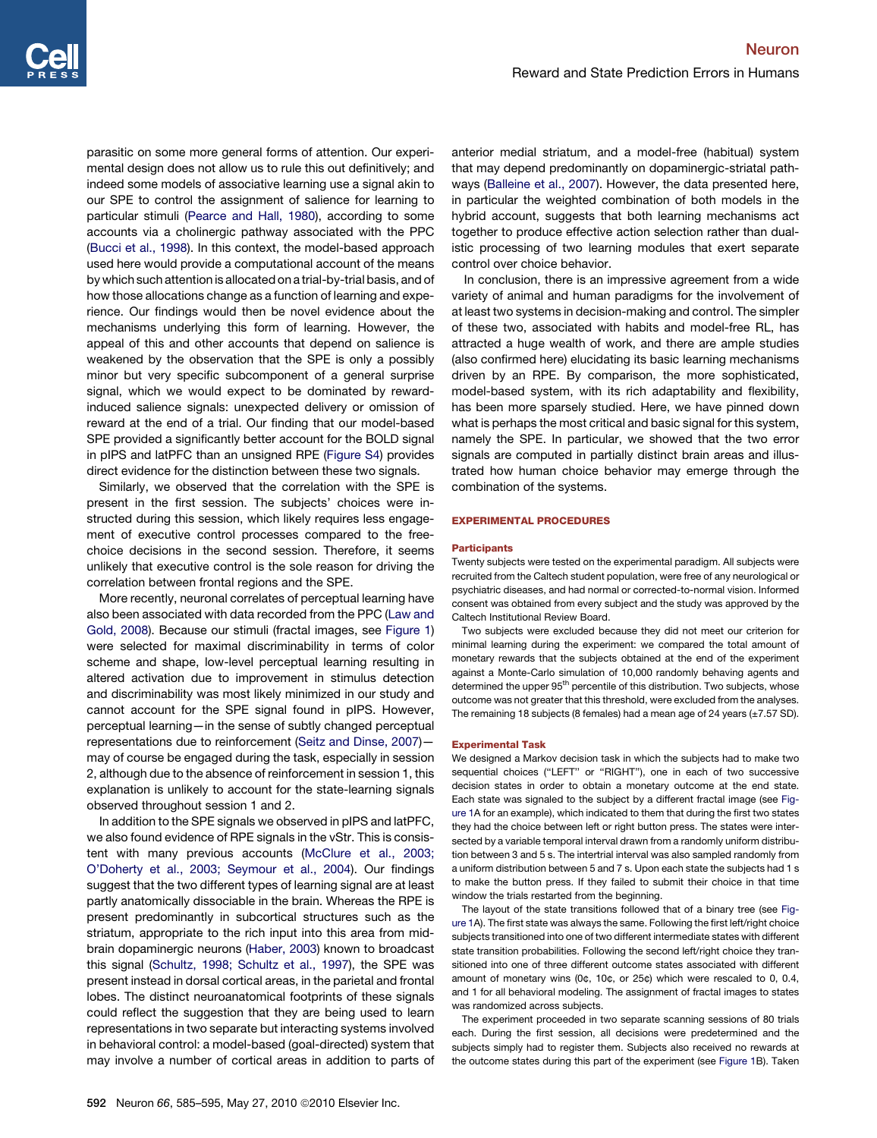<span id="page-7-0"></span>parasitic on some more general forms of attention. Our experimental design does not allow us to rule this out definitively; and indeed some models of associative learning use a signal akin to our SPE to control the assignment of salience for learning to particular stimuli [\(Pearce and Hall, 1980\)](#page-10-0), according to some accounts via a cholinergic pathway associated with the PPC ([Bucci et al., 1998\)](#page-9-0). In this context, the model-based approach used here would provide a computational account of the means by which such attention is allocated on a trial-by-trial basis, and of how those allocations change as a function of learning and experience. Our findings would then be novel evidence about the mechanisms underlying this form of learning. However, the appeal of this and other accounts that depend on salience is

weakened by the observation that the SPE is only a possibly minor but very specific subcomponent of a general surprise signal, which we would expect to be dominated by rewardinduced salience signals: unexpected delivery or omission of reward at the end of a trial. Our finding that our model-based SPE provided a significantly better account for the BOLD signal in pIPS and latPFC than an unsigned RPE ([Figure S4](#page-9-0)) provides direct evidence for the distinction between these two signals.

Similarly, we observed that the correlation with the SPE is present in the first session. The subjects' choices were instructed during this session, which likely requires less engagement of executive control processes compared to the freechoice decisions in the second session. Therefore, it seems unlikely that executive control is the sole reason for driving the correlation between frontal regions and the SPE.

More recently, neuronal correlates of perceptual learning have also been associated with data recorded from the PPC [\(Law and](#page-10-0) [Gold, 2008\)](#page-10-0). Because our stimuli (fractal images, see [Figure 1\)](#page-1-0) were selected for maximal discriminability in terms of color scheme and shape, low-level perceptual learning resulting in altered activation due to improvement in stimulus detection and discriminability was most likely minimized in our study and cannot account for the SPE signal found in pIPS. However, perceptual learning—in the sense of subtly changed perceptual representations due to reinforcement [\(Seitz and Dinse, 2007](#page-10-0)) may of course be engaged during the task, especially in session 2, although due to the absence of reinforcement in session 1, this explanation is unlikely to account for the state-learning signals observed throughout session 1 and 2.

In addition to the SPE signals we observed in pIPS and latPFC, we also found evidence of RPE signals in the vStr. This is consistent with many previous accounts ([McClure et al., 2003;](#page-10-0) [O'Doherty et al., 2003; Seymour et al., 2004](#page-10-0)). Our findings suggest that the two different types of learning signal are at least partly anatomically dissociable in the brain. Whereas the RPE is present predominantly in subcortical structures such as the striatum, appropriate to the rich input into this area from midbrain dopaminergic neurons [\(Haber, 2003\)](#page-10-0) known to broadcast this signal ([Schultz, 1998; Schultz et al., 1997\)](#page-10-0), the SPE was present instead in dorsal cortical areas, in the parietal and frontal lobes. The distinct neuroanatomical footprints of these signals could reflect the suggestion that they are being used to learn representations in two separate but interacting systems involved in behavioral control: a model-based (goal-directed) system that may involve a number of cortical areas in addition to parts of

anterior medial striatum, and a model-free (habitual) system that may depend predominantly on dopaminergic-striatal pathways [\(Balleine et al., 2007](#page-9-0)). However, the data presented here, in particular the weighted combination of both models in the hybrid account, suggests that both learning mechanisms act together to produce effective action selection rather than dualistic processing of two learning modules that exert separate control over choice behavior.

In conclusion, there is an impressive agreement from a wide variety of animal and human paradigms for the involvement of at least two systems in decision-making and control. The simpler of these two, associated with habits and model-free RL, has attracted a huge wealth of work, and there are ample studies (also confirmed here) elucidating its basic learning mechanisms driven by an RPE. By comparison, the more sophisticated, model-based system, with its rich adaptability and flexibility, has been more sparsely studied. Here, we have pinned down what is perhaps the most critical and basic signal for this system, namely the SPE. In particular, we showed that the two error signals are computed in partially distinct brain areas and illustrated how human choice behavior may emerge through the combination of the systems.

#### EXPERIMENTAL PROCEDURES

#### **Participants**

Twenty subjects were tested on the experimental paradigm. All subjects were recruited from the Caltech student population, were free of any neurological or psychiatric diseases, and had normal or corrected-to-normal vision. Informed consent was obtained from every subject and the study was approved by the Caltech Institutional Review Board.

Two subjects were excluded because they did not meet our criterion for minimal learning during the experiment: we compared the total amount of monetary rewards that the subjects obtained at the end of the experiment against a Monte-Carlo simulation of 10,000 randomly behaving agents and determined the upper 95<sup>th</sup> percentile of this distribution. Two subjects, whose outcome was not greater that this threshold, were excluded from the analyses. The remaining 18 subjects (8 females) had a mean age of 24 years  $(\pm 7.57 S D)$ .

#### Experimental Task

We designed a Markov decision task in which the subjects had to make two sequential choices ("LEFT" or "RIGHT"), one in each of two successive decision states in order to obtain a monetary outcome at the end state. Each state was signaled to the subject by a different fractal image (see [Fig](#page-1-0)[ure 1](#page-1-0)A for an example), which indicated to them that during the first two states they had the choice between left or right button press. The states were intersected by a variable temporal interval drawn from a randomly uniform distribution between 3 and 5 s. The intertrial interval was also sampled randomly from a uniform distribution between 5 and 7 s. Upon each state the subjects had 1 s to make the button press. If they failed to submit their choice in that time window the trials restarted from the beginning.

The layout of the state transitions followed that of a binary tree (see [Fig](#page-1-0)[ure 1](#page-1-0)A). The first state was always the same. Following the first left/right choice subjects transitioned into one of two different intermediate states with different state transition probabilities. Following the second left/right choice they transitioned into one of three different outcome states associated with different amount of monetary wins (0¢, 10¢, or 25¢) which were rescaled to 0, 0.4, and 1 for all behavioral modeling. The assignment of fractal images to states was randomized across subjects.

The experiment proceeded in two separate scanning sessions of 80 trials each. During the first session, all decisions were predetermined and the subjects simply had to register them. Subjects also received no rewards at the outcome states during this part of the experiment (see [Figure 1](#page-1-0)B). Taken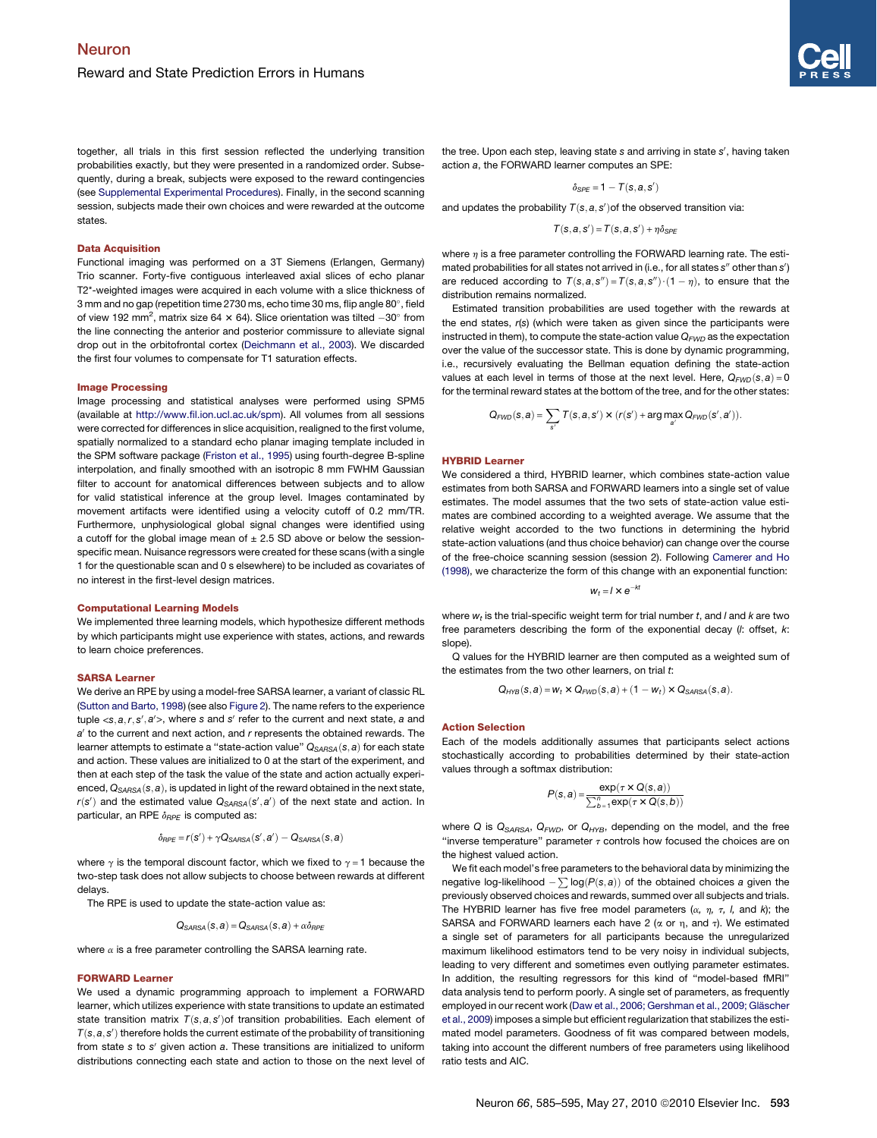together, all trials in this first session reflected the underlying transition probabilities exactly, but they were presented in a randomized order. Subsequently, during a break, subjects were exposed to the reward contingencies (see [Supplemental Experimental Procedures](#page-9-0)). Finally, in the second scanning session, subjects made their own choices and were rewarded at the outcome states.

#### Data Acquisition

Functional imaging was performed on a 3T Siemens (Erlangen, Germany) Trio scanner. Forty-five contiguous interleaved axial slices of echo planar T2\*-weighted images were acquired in each volume with a slice thickness of 3 mm and no gap (repetition time 2730 ms, echo time 30 ms, flip angle 80°, field of view 192 mm<sup>2</sup>, matrix size 64  $\times$  64). Slice orientation was tilted  $-30^\circ$  from the line connecting the anterior and posterior commissure to alleviate signal drop out in the orbitofrontal cortex [\(Deichmann et al., 2003\)](#page-9-0). We discarded the first four volumes to compensate for T1 saturation effects.

#### Image Processing

Image processing and statistical analyses were performed using SPM5 (available at <http://www.fil.ion.ucl.ac.uk/spm>). All volumes from all sessions were corrected for differences in slice acquisition, realigned to the first volume, spatially normalized to a standard echo planar imaging template included in the SPM software package [\(Friston et al., 1995](#page-10-0)) using fourth-degree B-spline interpolation, and finally smoothed with an isotropic 8 mm FWHM Gaussian filter to account for anatomical differences between subjects and to allow for valid statistical inference at the group level. Images contaminated by movement artifacts were identified using a velocity cutoff of 0.2 mm/TR. Furthermore, unphysiological global signal changes were identified using a cutoff for the global image mean of  $\pm$  2.5 SD above or below the sessionspecific mean. Nuisance regressors were created for these scans (with a single 1 for the questionable scan and 0 s elsewhere) to be included as covariates of no interest in the first-level design matrices.

#### Computational Learning Models

We implemented three learning models, which hypothesize different methods by which participants might use experience with states, actions, and rewards to learn choice preferences.

#### SARSA Learner

We derive an RPE by using a model-free SARSA learner, a variant of classic RL ([Sutton and Barto, 1998](#page-10-0)) (see also [Figure 2\)](#page-2-0). The name refers to the experience tuple  $\langle s, a, r, s', a' \rangle$ , where s and s' refer to the current and next state, a and  $a'$  to the current and next action, and *r* represents the obtained rewards. The learner attempts to estimate a "state-action value"  $Q_{\text{SARSA}}(s, a)$  for each state and action. These values are initialized to 0 at the start of the experiment, and then at each step of the task the value of the state and action actually experienced,  $Q_{SARSA}(s, a)$ , is updated in light of the reward obtained in the next state,  $r(s')$  and the estimated value  $Q_{SARSA}(s', a')$  of the next state and action. In particular, an RPE  $\delta_{RPE}$  is computed as:

$$
\delta_{\text{RPE}} = r(s') + \gamma Q_{\text{SARSA}}(s',a') - Q_{\text{SARSA}}(s,a)
$$

where  $\gamma$  is the temporal discount factor, which we fixed to  $\gamma = 1$  because the two-step task does not allow subjects to choose between rewards at different delays.

The RPE is used to update the state-action value as:

$$
Q_{SARSA}(s, a) = Q_{SARSA}(s, a) + \alpha \delta_{RPE}
$$

where  $\alpha$  is a free parameter controlling the SARSA learning rate.

#### FORWARD Learner

We used a dynamic programming approach to implement a FORWARD learner, which utilizes experience with state transitions to update an estimated state transition matrix  $T(s, a, s')$ of transition probabilities. Each element of  $T(s, a, s')$  therefore holds the current estimate of the probability of transitioning from state *s* to *s'* given action *a*. These transitions are initialized to uniform distributions connecting each state and action to those on the next level of

$$
\delta_{SPE} = 1 - T(s, a, s')
$$

and updates the probability  $T(s, a, s')$  of the observed transition via:

$$
T(s, a, s') = T(s, a, s') + \eta \delta_{SPE}
$$

where  $\eta$  is a free parameter controlling the FORWARD learning rate. The estimated probabilities for all states not arrived in (i.e., for all states s" other than s') are reduced according to  $T(s, a, s'') = T(s, a, s'') \cdot (1 - \eta)$ , to ensure that the distribution remains normalized.

Estimated transition probabilities are used together with the rewards at the end states, *r*(*s*) (which were taken as given since the participants were instructed in them), to compute the state-action value  $Q_{FWD}$  as the expectation over the value of the successor state. This is done by dynamic programming, i.e., recursively evaluating the Bellman equation defining the state-action values at each level in terms of those at the next level. Here,  $Q_{FWD}(s, a) = 0$ for the terminal reward states at the bottom of the tree, and for the other states:

$$
Q_{FWD}(s, a) = \sum_{s'} T(s, a, s') \times (r(s') + \arg \max_{a'} Q_{FWD}(s', a')).
$$

#### HYBRID Learner

We considered a third, HYBRID learner, which combines state-action value estimates from both SARSA and FORWARD learners into a single set of value estimates. The model assumes that the two sets of state-action value estimates are combined according to a weighted average. We assume that the relative weight accorded to the two functions in determining the hybrid state-action valuations (and thus choice behavior) can change over the course of the free-choice scanning session (session 2). Following [Camerer and Ho](#page-9-0) [\(1998\)](#page-9-0), we characterize the form of this change with an exponential function:

 $w_t = l \times e^{-kt}$ 

where  $w_t$  is the trial-specific weight term for trial number *t*, and *l* and *k* are two free parameters describing the form of the exponential decay (*l*: offset, *k*: slope).

Q values for the HYBRID learner are then computed as a weighted sum of the estimates from the two other learners, on trial *t*:

$$
Q_{HYB}(s,a) = w_t \times Q_{FWD}(s,a) + (1 - w_t) \times Q_{SARSA}(s,a).
$$

#### Action Selection

Each of the models additionally assumes that participants select actions stochastically according to probabilities determined by their state-action values through a softmax distribution:

$$
P(s, a) = \frac{\exp(\tau \times Q(s, a))}{\sum_{b=1}^{n} \exp(\tau \times Q(s, b))}
$$

where *Q* is  $Q_{SARSA}$ ,  $Q_{FWD}$ , or  $Q_{HYB}$ , depending on the model, and the free "inverse temperature" parameter  $\tau$  controls how focused the choices are on the highest valued action.

We fit each model's free parameters to the behavioral data by minimizing the negative log-likelihood  $-\sum \log(P(s, a))$  of the obtained choices *a* given the previously observed choices and rewards, summed over all subjects and trials. The HYBRID learner has five free model parameters  $(\alpha, \eta, \tau, l, \text{ and } k)$ ; the SARSA and FORWARD learners each have 2 ( $\alpha$  or  $\eta$ , and  $\tau$ ). We estimated a single set of parameters for all participants because the unregularized maximum likelihood estimators tend to be very noisy in individual subjects, leading to very different and sometimes even outlying parameter estimates. In addition, the resulting regressors for this kind of ''model-based fMRI'' data analysis tend to perform poorly. A single set of parameters, as frequently employed in our recent work (Daw et al., 2006; Gershman et al., 2009; Gläscher [et al., 2009](#page-9-0)) imposes a simple but efficient regularization that stabilizes the estimated model parameters. Goodness of fit was compared between models, taking into account the different numbers of free parameters using likelihood ratio tests and AIC.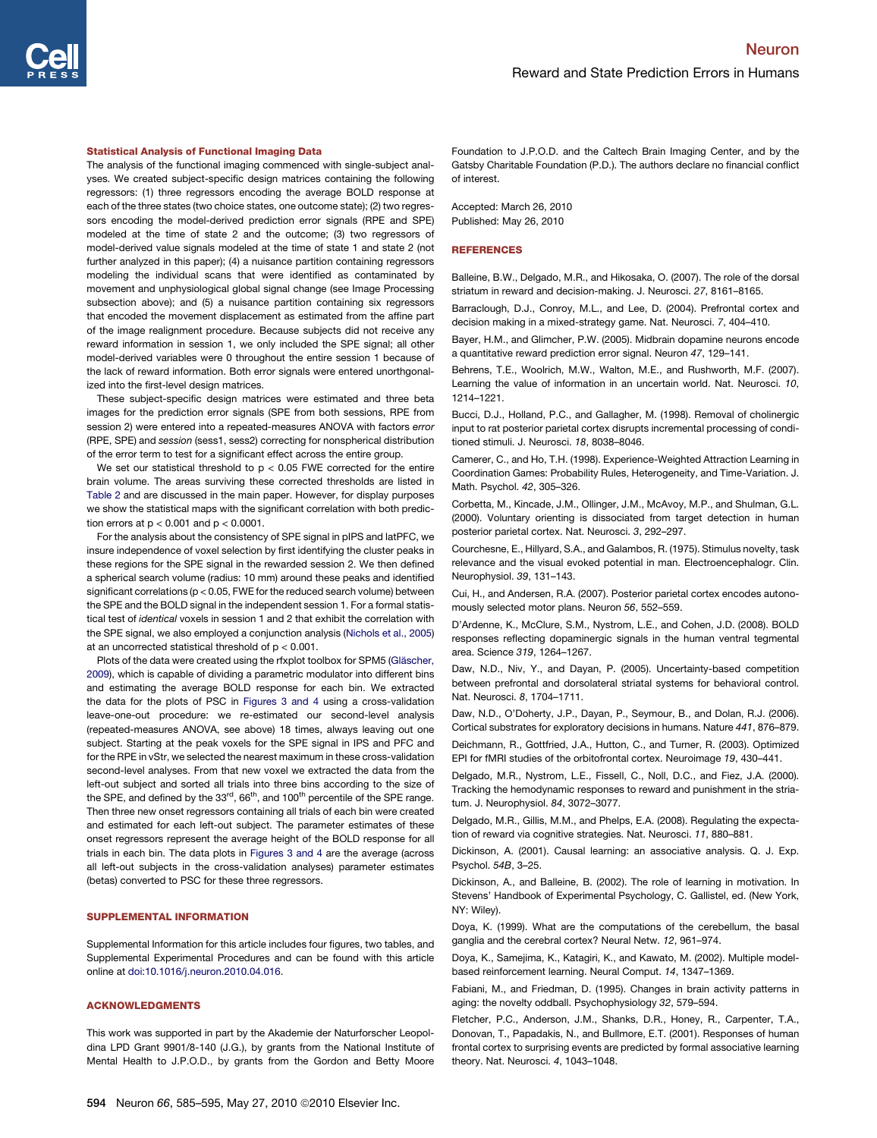#### <span id="page-9-0"></span>Statistical Analysis of Functional Imaging Data

The analysis of the functional imaging commenced with single-subject analyses. We created subject-specific design matrices containing the following regressors: (1) three regressors encoding the average BOLD response at each of the three states (two choice states, one outcome state); (2) two regressors encoding the model-derived prediction error signals (RPE and SPE) modeled at the time of state 2 and the outcome; (3) two regressors of model-derived value signals modeled at the time of state 1 and state 2 (not further analyzed in this paper); (4) a nuisance partition containing regressors modeling the individual scans that were identified as contaminated by movement and unphysiological global signal change (see Image Processing subsection above); and (5) a nuisance partition containing six regressors that encoded the movement displacement as estimated from the affine part of the image realignment procedure. Because subjects did not receive any reward information in session 1, we only included the SPE signal; all other model-derived variables were 0 throughout the entire session 1 because of the lack of reward information. Both error signals were entered unorthgonalized into the first-level design matrices.

These subject-specific design matrices were estimated and three beta images for the prediction error signals (SPE from both sessions, RPE from session 2) were entered into a repeated-measures ANOVA with factors *error* (RPE, SPE) and *session* (sess1, sess2) correcting for nonspherical distribution of the error term to test for a significant effect across the entire group.

We set our statistical threshold to  $p < 0.05$  FWE corrected for the entire brain volume. The areas surviving these corrected thresholds are listed in [Table 2](#page-5-0) and are discussed in the main paper. However, for display purposes we show the statistical maps with the significant correlation with both prediction errors at  $p < 0.001$  and  $p < 0.0001$ .

For the analysis about the consistency of SPE signal in pIPS and latPFC, we insure independence of voxel selection by first identifying the cluster peaks in these regions for the SPE signal in the rewarded session 2. We then defined a spherical search volume (radius: 10 mm) around these peaks and identified significant correlations (p < 0.05, FWE for the reduced search volume) between the SPE and the BOLD signal in the independent session 1. For a formal statistical test of *identical* voxels in session 1 and 2 that exhibit the correlation with the SPE signal, we also employed a conjunction analysis [\(Nichols et al., 2005](#page-10-0)) at an uncorrected statistical threshold of p < 0.001.

Plots of the data were created using the rfxplot toolbox for SPM5 (Glä[scher,](#page-10-0) [2009](#page-10-0)), which is capable of dividing a parametric modulator into different bins and estimating the average BOLD response for each bin. We extracted the data for the plots of PSC in [Figures 3 and 4](#page-4-0) using a cross-validation leave-one-out procedure: we re-estimated our second-level analysis (repeated-measures ANOVA, see above) 18 times, always leaving out one subject. Starting at the peak voxels for the SPE signal in IPS and PFC and for the RPE in vStr, we selected the nearest maximum in these cross-validation second-level analyses. From that new voxel we extracted the data from the left-out subject and sorted all trials into three bins according to the size of the SPE, and defined by the  $33^{\text{rd}}$ , 66<sup>th</sup>, and 100<sup>th</sup> percentile of the SPE range. Then three new onset regressors containing all trials of each bin were created and estimated for each left-out subject. The parameter estimates of these onset regressors represent the average height of the BOLD response for all trials in each bin. The data plots in [Figures 3 and 4](#page-4-0) are the average (across all left-out subjects in the cross-validation analyses) parameter estimates (betas) converted to PSC for these three regressors.

#### SUPPLEMENTAL INFORMATION

Supplemental Information for this article includes four figures, two tables, and Supplemental Experimental Procedures and can be found with this article online at [doi:10.1016/j.neuron.2010.04.016](http://dx.doi.org/doi:10.1016/j.neuron.2010.04.016).

#### ACKNOWLEDGMENTS

This work was supported in part by the Akademie der Naturforscher Leopoldina LPD Grant 9901/8-140 (J.G.), by grants from the National Institute of Mental Health to J.P.O.D., by grants from the Gordon and Betty Moore

Accepted: March 26, 2010 Published: May 26, 2010

#### REFERENCES

Balleine, B.W., Delgado, M.R., and Hikosaka, O. (2007). The role of the dorsal striatum in reward and decision-making. J. Neurosci. *27*, 8161–8165.

Barraclough, D.J., Conroy, M.L., and Lee, D. (2004). Prefrontal cortex and decision making in a mixed-strategy game. Nat. Neurosci. *7*, 404–410.

Bayer, H.M., and Glimcher, P.W. (2005). Midbrain dopamine neurons encode a quantitative reward prediction error signal. Neuron *47*, 129–141.

Behrens, T.E., Woolrich, M.W., Walton, M.E., and Rushworth, M.F. (2007). Learning the value of information in an uncertain world. Nat. Neurosci. *10*, 1214–1221.

Bucci, D.J., Holland, P.C., and Gallagher, M. (1998). Removal of cholinergic input to rat posterior parietal cortex disrupts incremental processing of conditioned stimuli. J. Neurosci. *18*, 8038–8046.

Camerer, C., and Ho, T.H. (1998). Experience-Weighted Attraction Learning in Coordination Games: Probability Rules, Heterogeneity, and Time-Variation. J. Math. Psychol. *42*, 305–326.

Corbetta, M., Kincade, J.M., Ollinger, J.M., McAvoy, M.P., and Shulman, G.L. (2000). Voluntary orienting is dissociated from target detection in human posterior parietal cortex. Nat. Neurosci. *3*, 292–297.

Courchesne, E., Hillyard, S.A., and Galambos, R. (1975). Stimulus novelty, task relevance and the visual evoked potential in man. Electroencephalogr. Clin. Neurophysiol. *39*, 131–143.

Cui, H., and Andersen, R.A. (2007). Posterior parietal cortex encodes autonomously selected motor plans. Neuron *56*, 552–559.

D'Ardenne, K., McClure, S.M., Nystrom, L.E., and Cohen, J.D. (2008). BOLD responses reflecting dopaminergic signals in the human ventral tegmental area. Science *319*, 1264–1267.

Daw, N.D., Niv, Y., and Dayan, P. (2005). Uncertainty-based competition between prefrontal and dorsolateral striatal systems for behavioral control. Nat. Neurosci. *8*, 1704–1711.

Daw, N.D., O'Doherty, J.P., Dayan, P., Seymour, B., and Dolan, R.J. (2006). Cortical substrates for exploratory decisions in humans. Nature *441*, 876–879.

Deichmann, R., Gottfried, J.A., Hutton, C., and Turner, R. (2003). Optimized EPI for fMRI studies of the orbitofrontal cortex. Neuroimage *19*, 430–441.

Delgado, M.R., Nystrom, L.E., Fissell, C., Noll, D.C., and Fiez, J.A. (2000). Tracking the hemodynamic responses to reward and punishment in the striatum. J. Neurophysiol. *84*, 3072–3077.

Delgado, M.R., Gillis, M.M., and Phelps, E.A. (2008). Regulating the expectation of reward via cognitive strategies. Nat. Neurosci. *11*, 880–881.

Dickinson, A. (2001). Causal learning: an associative analysis. Q. J. Exp. Psychol. *54B*, 3–25.

Dickinson, A., and Balleine, B. (2002). The role of learning in motivation. In Stevens' Handbook of Experimental Psychology, C. Gallistel, ed. (New York, NY: Wiley).

Doya, K. (1999). What are the computations of the cerebellum, the basal ganglia and the cerebral cortex? Neural Netw. *12*, 961–974.

Doya, K., Samejima, K., Katagiri, K., and Kawato, M. (2002). Multiple modelbased reinforcement learning. Neural Comput. *14*, 1347–1369.

Fabiani, M., and Friedman, D. (1995). Changes in brain activity patterns in aging: the novelty oddball. Psychophysiology *32*, 579–594.

Fletcher, P.C., Anderson, J.M., Shanks, D.R., Honey, R., Carpenter, T.A., Donovan, T., Papadakis, N., and Bullmore, E.T. (2001). Responses of human frontal cortex to surprising events are predicted by formal associative learning theory. Nat. Neurosci. *4*, 1043–1048.